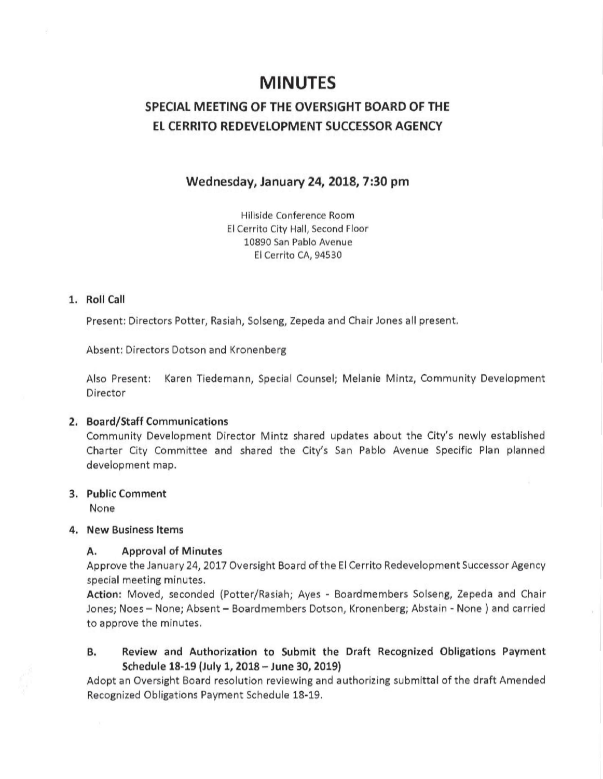# MINUTES

# SPECIAL MEETING OF THE OVERSIGHT BOARD OF THE EL CERRITO REDEVELOPMENT SUCCESSOR AGENCY

# Wednesday, January 24, 2018, 7:30 pm

Hillside Conference Room El Cerrito City Hall, Second Floor 10890 San Pablo Avenue El Cerrito CA, 94530

## 1. Roll Call

Present: Directors Potter, Rasiah, Solseng, Zepeda and Chair Jones all present.

Absent: Directors Dotson and Kronenberg

Also Present: Karen Tiedemann, Special Counsel; Melanie Mintz, Community Development Director

#### 2. Board/Staff Communications

Community Development Director Mintz shared updates about the City's newly established Charter City Committee and shared the City's San Pablo Avenue Specific Plan planned development map.

### 3. Public Comment

None

### 4. New Business Items

#### A. Approval of Minutes

Approve the January 24, 2017 Oversight Board of the El Cerrito Redevelopment Successor Agency special meeting minutes.

Action: Moved, seconded (Potter/Rasiah; Ayes - Boardmembers Solseng, Zepeda and Chair Jones; Noes - None; Absent - Board members Dotson, Kronenberg; Abstain - None ) and carried to approve the minutes.

B. Review and Authorization to Submit the Draft Recognized Obligations Payment Schedule 18-19 (July 1, 2018 - June 30, 2019}

Adopt an Oversight Board resolution reviewing and authorizing submittal of the draft Amended Recognized Obligations Payment Schedule 18~19.